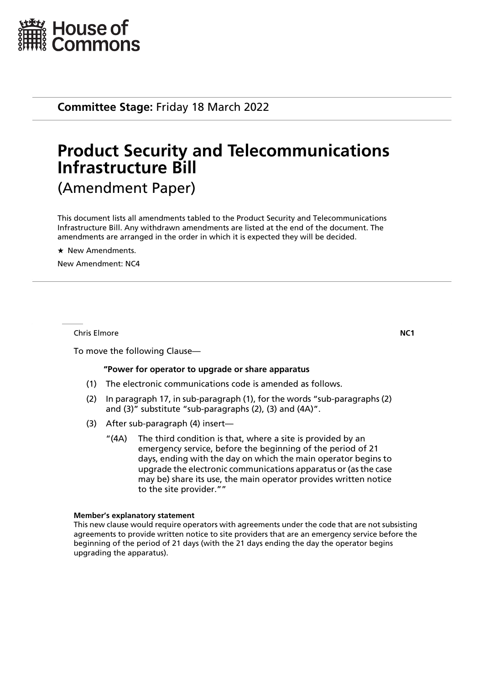

**Committee Stage:** Friday 18 March 2022

# **Product Security and Telecommunications Infrastructure Bill** (Amendment Paper)

This document lists all amendments tabled to the Product Security and Telecommunications Infrastructure Bill. Any withdrawn amendments are listed at the end of the document. The amendments are arranged in the order in which it is expected they will be decided.

 $\star$  New Amendments.

New Amendment: NC4

**Chris Elmore NC1** 

To move the following Clause—

### **"Power for operator to upgrade or share apparatus**

- (1) The electronic communications code is amended as follows.
- (2) In paragraph 17, in sub-paragraph (1), for the words "sub-paragraphs (2) and (3)" substitute "sub-paragraphs (2), (3) and (4A)".
- (3) After sub-paragraph (4) insert—
	- "(4A) The third condition is that, where a site is provided by an emergency service, before the beginning of the period of 21 days, ending with the day on which the main operator begins to upgrade the electronic communications apparatus or (as the case may be) share its use, the main operator provides written notice to the site provider.""

#### **Member's explanatory statement**

This new clause would require operators with agreements under the code that are not subsisting agreements to provide written notice to site providers that are an emergency service before the beginning of the period of 21 days (with the 21 days ending the day the operator begins upgrading the apparatus).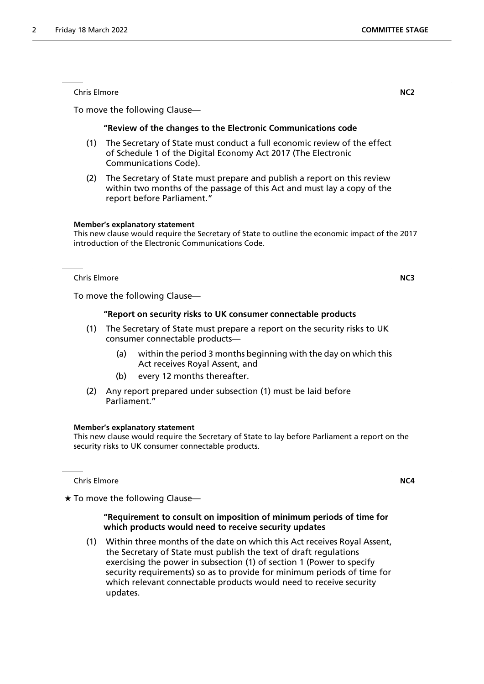Chris Elmore **NC2**

To move the following Clause—

### **"Review of the changes to the Electronic Communications code**

- (1) The Secretary of State must conduct a full economic review of the effect of Schedule 1 of the Digital Economy Act 2017 (The Electronic Communications Code).
- (2) The Secretary of State must prepare and publish a report on this review within two months of the passage of this Act and must lay a copy of the report before Parliament."

### **Member's explanatory statement**

This new clause would require the Secretary of State to outline the economic impact of the 2017 introduction of the Electronic Communications Code.

Chris Elmore **NC3**

To move the following Clause—

### **"Report on security risks to UK consumer connectable products**

- (1) The Secretary of State must prepare a report on the security risks to UK consumer connectable products—
	- (a) within the period 3 months beginning with the day on which this Act receives Royal Assent, and
	- (b) every 12 months thereafter.
- (2) Any report prepared under subsection (1) must be laid before Parliament."

### **Member's explanatory statement**

This new clause would require the Secretary of State to lay before Parliament a report on the security risks to UK consumer connectable products.

**Chris Elmore NC4** 

 $\star$  To move the following Clause—

### **"Requirement to consult on imposition of minimum periods of time for which products would need to receive security updates**

(1) Within three months of the date on which this Act receives Royal Assent, the Secretary of State must publish the text of draft regulations exercising the power in subsection (1) of section 1 (Power to specify security requirements) so as to provide for minimum periods of time for which relevant connectable products would need to receive security updates.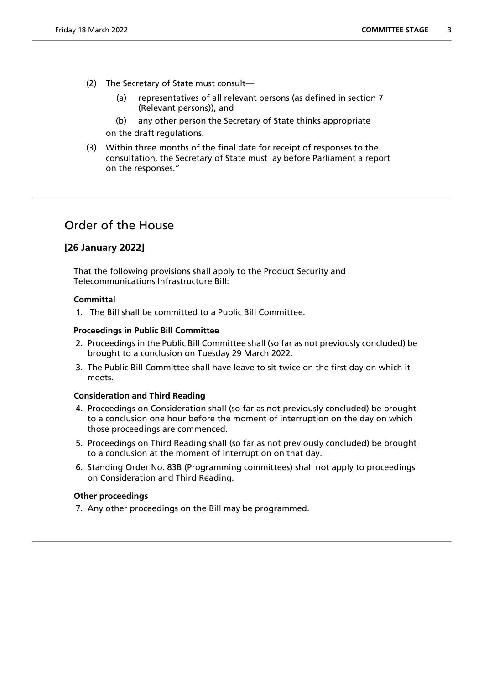- (2) The Secretary of State must consult—
	- (a) representatives of all relevant persons (as defined in section 7 (Relevant persons)), and
	- (b) any other person the Secretary of State thinks appropriate

on the draft regulations.

(3) Within three months of the final date for receipt of responses to the consultation, the Secretary of State must lay before Parliament a report on the responses."

# Order of the House

### **[26 January 2022]**

That the following provisions shall apply to the Product Security and Telecommunications Infrastructure Bill:

### **Committal**

1. The Bill shall be committed to a Public Bill Committee.

### **Proceedings in Public Bill Committee**

- 2. Proceedings in the Public Bill Committee shall (so far as not previously concluded) be brought to a conclusion on Tuesday 29 March 2022.
- 3. The Public Bill Committee shall have leave to sit twice on the first day on which it meets.

### **Consideration and Third Reading**

- 4. Proceedings on Consideration shall (so far as not previously concluded) be brought to a conclusion one hour before the moment of interruption on the day on which those proceedings are commenced.
- 5. Proceedings on Third Reading shall (so far as not previously concluded) be brought to a conclusion at the moment of interruption on that day.
- 6. Standing Order No. 83B (Programming committees) shall not apply to proceedings on Consideration and Third Reading.

### **Other proceedings**

7. Any other proceedings on the Bill may be programmed.